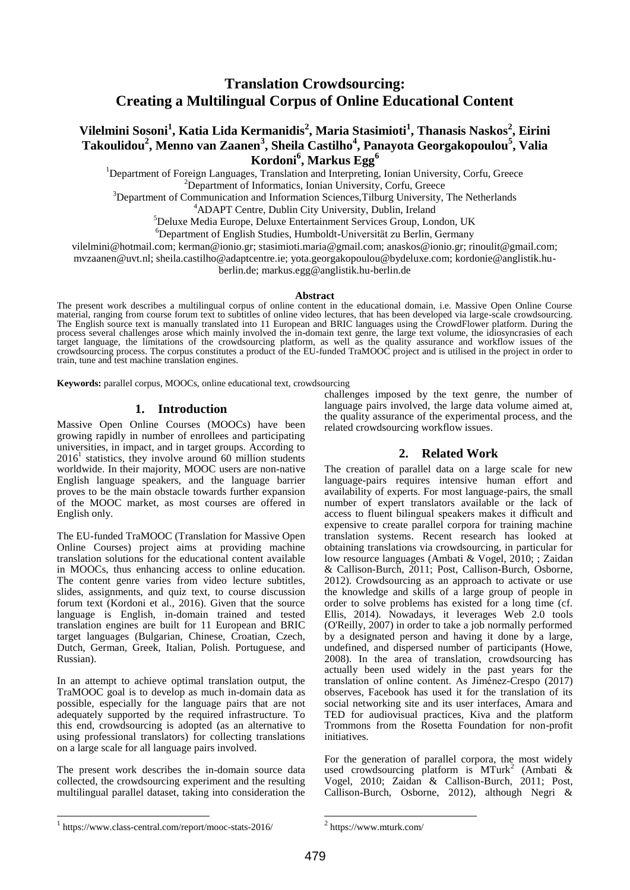# **Translation Crowdsourcing: Creating a Multilingual Corpus of Online Educational Content**

# **Vilelmini Sosoni<sup>1</sup> , Katia Lida Kermanidis<sup>2</sup> , Maria Stasimioti<sup>1</sup> , Thanasis Naskos<sup>2</sup> , Eirini Takoulidou<sup>2</sup> , Menno van Zaanen<sup>3</sup> , Sheila Castilho<sup>4</sup> , Panayota Georgakopoulou<sup>5</sup> , Valia Kordoni<sup>6</sup> , Markus Egg<sup>6</sup>**

<sup>1</sup>Department of Foreign Languages, Translation and Interpreting, Ionian University, Corfu, Greece <sup>2</sup>Department of Informatics, Ionian University, Corfu, Greece

<sup>3</sup>Department of Communication and Information Sciences, Tilburg University, The Netherlands

<sup>4</sup>ADAPT Centre, Dublin City University, Dublin, Ireland

<sup>5</sup>Deluxe Media Europe, Deluxe Entertainment Services Group, London, UK

<sup>6</sup>Department of English Studies, Humboldt-Universität zu Berlin, Germany

vilelmini@hotmail.com; kerman@ionio.gr; stasimioti.maria@gmail.com; anaskos@ionio.gr; rinoulit@gmail.com;

mvzaanen@uvt.nl; sheila.castilho@adaptcentre.ie; yota.georgakopoulou@bydeluxe.com; kordonie@anglistik.hu-

berlin.de; markus.egg@anglistik.hu-berlin.de

#### **Abstract**

The present work describes a multilingual corpus of online content in the educational domain, i.e. Massive Open Online Course material, ranging from course forum text to subtitles of online video lectures, that has been developed via large-scale crowdsourcing. The English source text is manually translated into 11 European and BRIC languages using the CrowdFlower platform. During the process several challenges arose which mainly involved the in-domain text genre, the large text volume, the idiosyncrasies of each target language, the limitations of the crowdsourcing platform, as well as the quality assurance and workflow issues of the crowdsourcing process. The corpus constitutes a product of the EU-funded TraMOOC project and is utilised in the project in order to train, tune and test machine translation engines.

**Keywords:** parallel corpus, MOOCs, online educational text, crowdsourcing

### **1. Introduction**

Massive Open Online Courses (MOOCs) have been growing rapidly in number of enrollees and participating universities, in impact, and in target groups. According to  $2016<sup>1</sup>$  statistics, they involve around 60 million students worldwide. In their majority, MOOC users are non-native English language speakers, and the language barrier proves to be the main obstacle towards further expansion of the MOOC market, as most courses are offered in English only.

The EU-funded TraMOOC (Translation for Massive Open Online Courses) project aims at providing machine translation solutions for the educational content available in MOOCs, thus enhancing access to online education. The content genre varies from video lecture subtitles, slides, assignments, and quiz text, to course discussion forum text (Kordoni et al., 2016). Given that the source language is English, in-domain trained and tested translation engines are built for 11 European and BRIC target languages (Bulgarian, Chinese, Croatian, Czech, Dutch, German, Greek, Italian, Polish. Portuguese, and Russian).

In an attempt to achieve optimal translation output, the TraMOOC goal is to develop as much in-domain data as possible, especially for the language pairs that are not adequately supported by the required infrastructure. To this end, crowdsourcing is adopted (as an alternative to using professional translators) for collecting translations on a large scale for all language pairs involved.

The present work describes the in-domain source data collected, the crowdsourcing experiment and the resulting multilingual parallel dataset, taking into consideration the

challenges imposed by the text genre, the number of language pairs involved, the large data volume aimed at, the quality assurance of the experimental process, and the related crowdsourcing workflow issues.

## **2. Related Work**

The creation of parallel data on a large scale for new language-pairs requires intensive human effort and availability of experts. For most language-pairs, the small number of expert translators available or the lack of access to fluent bilingual speakers makes it difficult and expensive to create parallel corpora for training machine translation systems. Recent research has looked at obtaining translations via crowdsourcing, in particular for low resource languages (Ambati & Vogel, 2010; ; Zaidan & Callison-Burch, 2011; Post, Callison-Burch, Osborne, 2012). Crowdsourcing as an approach to activate or use the knowledge and skills of a large group of people in order to solve problems has existed for a long time (cf. Ellis, 2014). Nowadays, it leverages Web 2.0 tools (O'Reilly, 2007) in order to take a job normally performed by a designated person and having it done by a large, undefined, and dispersed number of participants (Howe, 2008). In the area of translation, crowdsourcing has actually been used widely in the past years for the translation of online content. As Jiménez-Crespo (2017) observes, Facebook has used it for the translation of its social networking site and its user interfaces, Amara and TED for audiovisual practices, Kiva and the platform Trommons from the Rosetta Foundation for non-profit initiatives.

For the generation of parallel corpora, the most widely used crowdsourcing platform is  $MTurk^2$  (Ambati & Vogel, 2010; Zaidan & Callison-Burch, 2011; Post, Callison-Burch, Osborne, 2012), although Negri &

l

1

<sup>1</sup> https://www.class-central.com/report/mooc-stats-2016/

<sup>2</sup> https://www.mturk.com/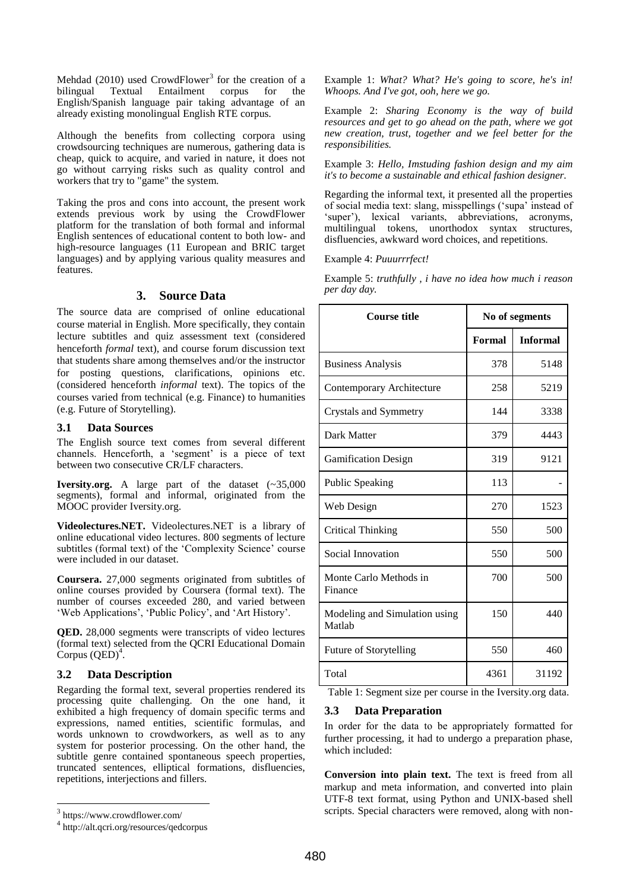Mehdad  $(2010)$  used CrowdFlower<sup>3</sup> for the creation of a bilingual Textual Entailment corpus for the English/Spanish language pair taking advantage of an already existing monolingual English RTE corpus.

Although the benefits from collecting corpora using crowdsourcing techniques are numerous, gathering data is cheap, quick to acquire, and varied in nature, it does not go without carrying risks such as quality control and workers that try to "game" the system.

Taking the pros and cons into account, the present work extends previous work by using the CrowdFlower platform for the translation of both formal and informal English sentences of educational content to both low- and high-resource languages (11 European and BRIC target languages) and by applying various quality measures and features.

## **3. Source Data**

The source data are comprised of online educational course material in English. More specifically, they contain lecture subtitles and quiz assessment text (considered henceforth *formal* text), and course forum discussion text that students share among themselves and/or the instructor for posting questions, clarifications, opinions etc. (considered henceforth *informal* text). The topics of the courses varied from technical (e.g. Finance) to humanities (e.g. Future of Storytelling).

## **3.1 Data Sources**

The English source text comes from several different channels. Henceforth, a 'segment' is a piece of text between two consecutive CR/LF characters.

**Iversity.org.** A large part of the dataset (~35,000 segments), formal and informal, originated from the MOOC provider Iversity.org.

**Videolectures.NET.** Videolectures.NET is a library of online educational video lectures. 800 segments of lecture subtitles (formal text) of the 'Complexity Science' course were included in our dataset.

**Coursera.** 27,000 segments originated from subtitles of online courses provided by Coursera (formal text). The number of courses exceeded 280, and varied between 'Web Applications', 'Public Policy', and 'Art History'.

**QED.** 28,000 segments were transcripts of video lectures (formal text) selected from the QCRI Educational Domain  $C$ orpus  $(QED)^4$ .

## **3.2 Data Description**

Regarding the formal text, several properties rendered its processing quite challenging. On the one hand, it exhibited a high frequency of domain specific terms and expressions, named entities, scientific formulas, and words unknown to crowdworkers, as well as to any system for posterior processing. On the other hand, the subtitle genre contained spontaneous speech properties, truncated sentences, elliptical formations, disfluencies, repetitions, interjections and fillers.

l

Example 1: *What? What? He's going to score, he's in! Whoops. And I've got, ooh, here we go.*

Example 2: *Sharing Economy is the way of build resources and get to go ahead on the path, where we got new creation, trust, together and we feel better for the responsibilities.*

Example 3: *Hello, Imstuding fashion design and my aim it's to become a sustainable and ethical fashion designer.* 

Regarding the informal text, it presented all the properties of social media text: slang, misspellings ("supa" instead of "super"), lexical variants, abbreviations, acronyms, multilingual tokens, unorthodox syntax structures, disfluencies, awkward word choices, and repetitions.

Example 4: *Puuurrrfect!*

Example 5: *truthfully , i have no idea how much i reason per day day.*

| <b>Course title</b>                     | No of segments |                 |
|-----------------------------------------|----------------|-----------------|
|                                         | Formal         | <b>Informal</b> |
| <b>Business Analysis</b>                | 378            | 5148            |
| Contemporary Architecture               | 258            | 5219            |
| Crystals and Symmetry                   | 144            | 3338            |
| Dark Matter                             | 379            | 4443            |
| <b>Gamification Design</b>              | 319            | 9121            |
| <b>Public Speaking</b>                  | 113            |                 |
| Web Design                              | 270            | 1523            |
| <b>Critical Thinking</b>                | 550            | 500             |
| Social Innovation                       | 550            | 500             |
| Monte Carlo Methods in<br>Finance       | 700            | 500             |
| Modeling and Simulation using<br>Matlah | 150            | 440             |
| Future of Storytelling                  | 550            | 460             |
| Total                                   | 4361           | 31192           |

Table 1: Segment size per course in the Iversity.org data.

# **3.3 Data Preparation**

In order for the data to be appropriately formatted for further processing, it had to undergo a preparation phase, which included:

**Conversion into plain text.** The text is freed from all markup and meta information, and converted into plain UTF-8 text format, using Python and UNIX-based shell scripts. Special characters were removed, along with non-

<sup>3</sup> https://www.crowdflower.com/

<sup>4</sup> http://alt.qcri.org/resources/qedcorpus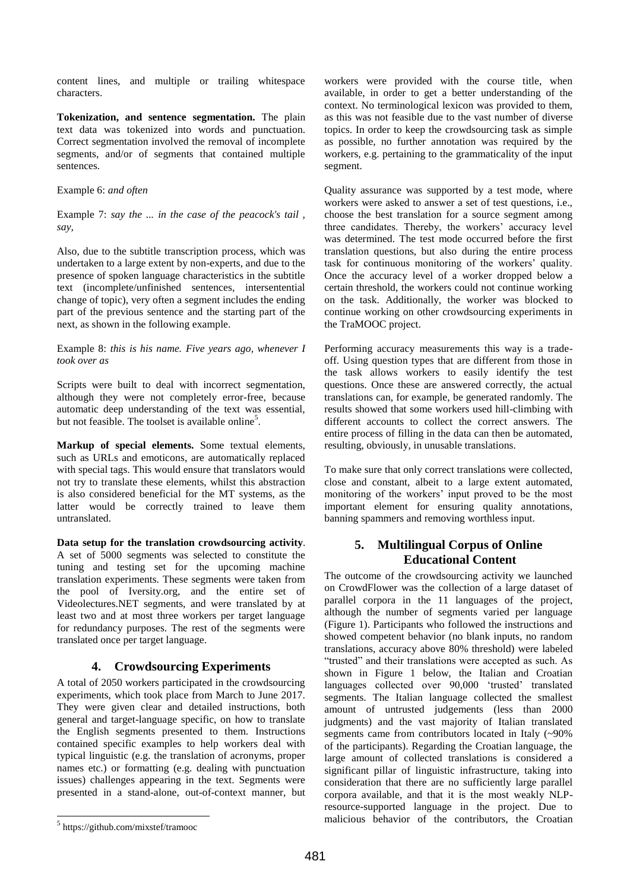content lines, and multiple or trailing whitespace characters.

**Tokenization, and sentence segmentation.** The plain text data was tokenized into words and punctuation. Correct segmentation involved the removal of incomplete segments, and/or of segments that contained multiple sentences.

### Example 6: *and often*

Example 7: *say the ... in the case of the peacock's tail , say,* 

Also, due to the subtitle transcription process, which was undertaken to a large extent by non-experts, and due to the presence of spoken language characteristics in the subtitle text (incomplete/unfinished sentences, intersentential change of topic), very often a segment includes the ending part of the previous sentence and the starting part of the next, as shown in the following example.

Example 8: *this is his name. Five years ago, whenever I took over as*

Scripts were built to deal with incorrect segmentation, although they were not completely error-free, because automatic deep understanding of the text was essential, but not feasible. The toolset is available online<sup>5</sup>.

**Markup of special elements.** Some textual elements, such as URLs and emoticons, are automatically replaced with special tags. This would ensure that translators would not try to translate these elements, whilst this abstraction is also considered beneficial for the MT systems, as the latter would be correctly trained to leave them untranslated.

**Data setup for the translation crowdsourcing activity**. A set of 5000 segments was selected to constitute the tuning and testing set for the upcoming machine translation experiments. These segments were taken from the pool of Iversity.org, and the entire set of Videolectures.NET segments, and were translated by at least two and at most three workers per target language for redundancy purposes. The rest of the segments were translated once per target language.

## **4. Crowdsourcing Experiments**

A total of 2050 workers participated in the crowdsourcing experiments, which took place from March to June 2017. They were given clear and detailed instructions, both general and target-language specific, on how to translate the English segments presented to them. Instructions contained specific examples to help workers deal with typical linguistic (e.g. the translation of acronyms, proper names etc.) or formatting (e.g. dealing with punctuation issues) challenges appearing in the text. Segments were presented in a stand-alone, out-of-context manner, but

workers were provided with the course title, when available, in order to get a better understanding of the context. No terminological lexicon was provided to them, as this was not feasible due to the vast number of diverse topics. In order to keep the crowdsourcing task as simple as possible, no further annotation was required by the workers, e.g. pertaining to the grammaticality of the input segment.

Quality assurance was supported by a test mode, where workers were asked to answer a set of test questions, i.e., choose the best translation for a source segment among three candidates. Thereby, the workers' accuracy level was determined. The test mode occurred before the first translation questions, but also during the entire process task for continuous monitoring of the workers' quality. Once the accuracy level of a worker dropped below a certain threshold, the workers could not continue working on the task. Additionally, the worker was blocked to continue working on other crowdsourcing experiments in the TraMOOC project.

Performing accuracy measurements this way is a tradeoff. Using question types that are different from those in the task allows workers to easily identify the test questions. Once these are answered correctly, the actual translations can, for example, be generated randomly. The results showed that some workers used hill-climbing with different accounts to collect the correct answers. The entire process of filling in the data can then be automated, resulting, obviously, in unusable translations.

To make sure that only correct translations were collected, close and constant, albeit to a large extent automated, monitoring of the workers' input proved to be the most important element for ensuring quality annotations, banning spammers and removing worthless input.

# **5. Multilingual Corpus of Online Educational Content**

The outcome of the crowdsourcing activity we launched on CrowdFlower was the collection of a large dataset of parallel corpora in the 11 languages of the project, although the number of segments varied per language (Figure 1). Participants who followed the instructions and showed competent behavior (no blank inputs, no random translations, accuracy above 80% threshold) were labeled "trusted" and their translations were accepted as such. As shown in Figure 1 below, the Italian and Croatian languages collected over 90,000 'trusted' translated segments. The Italian language collected the smallest amount of untrusted judgements (less than 2000 judgments) and the vast majority of Italian translated segments came from contributors located in Italy (~90%) of the participants). Regarding the Croatian language, the large amount of collected translations is considered a significant pillar of linguistic infrastructure, taking into consideration that there are no sufficiently large parallel corpora available, and that it is the most weakly NLPresource-supported language in the project. Due to malicious behavior of the contributors, the Croatian

l

<sup>5</sup> https://github.com/mixstef/tramooc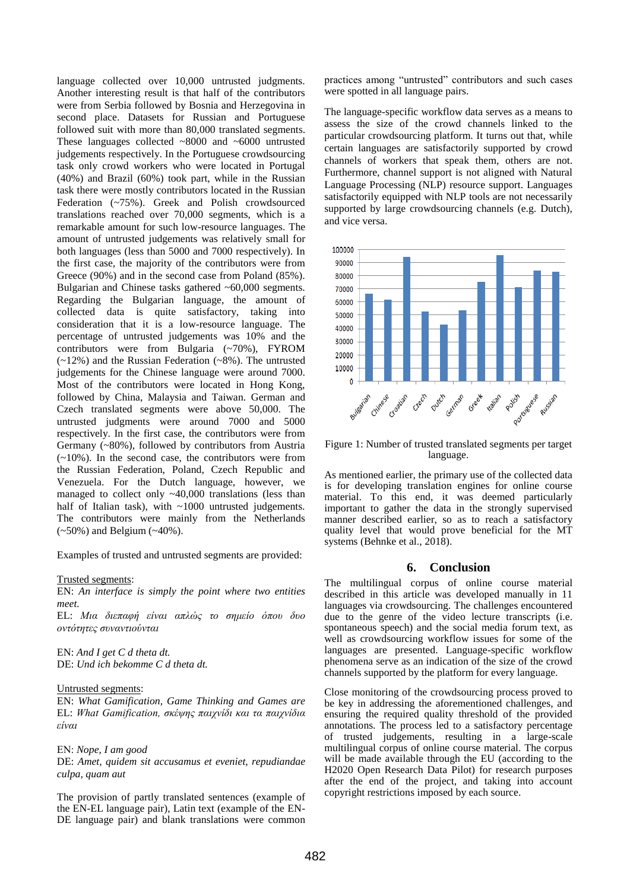language collected over 10,000 untrusted judgments. Another interesting result is that half of the contributors were from Serbia followed by Bosnia and Herzegovina in second place. Datasets for Russian and Portuguese followed suit with more than 80,000 translated segments. These languages collected ~8000 and ~6000 untrusted judgements respectively. In the Portuguese crowdsourcing task only crowd workers who were located in Portugal (40%) and Brazil (60%) took part, while in the Russian task there were mostly contributors located in the Russian Federation (~75%). Greek and Polish crowdsourced translations reached over 70,000 segments, which is a remarkable amount for such low-resource languages. The amount of untrusted judgements was relatively small for both languages (less than 5000 and 7000 respectively). In the first case, the majority of the contributors were from Greece (90%) and in the second case from Poland (85%). Bulgarian and Chinese tasks gathered ~60,000 segments. Regarding the Bulgarian language, the amount of collected data is quite satisfactory, taking into consideration that it is a low-resource language. The percentage of untrusted judgements was 10% and the contributors were from Bulgaria (~70%), FYROM (~12%) and the Russian Federation (~8%). The untrusted judgements for the Chinese language were around 7000. Most of the contributors were located in Hong Kong, followed by China, Malaysia and Taiwan. German and Czech translated segments were above 50,000. The untrusted judgments were around 7000 and 5000 respectively. In the first case, the contributors were from Germany (~80%), followed by contributors from Austria  $(-10\%)$ . In the second case, the contributors were from the Russian Federation, Poland, Czech Republic and Venezuela. For the Dutch language, however, we managed to collect only ~40,000 translations (less than half of Italian task), with ~1000 untrusted judgements. The contributors were mainly from the Netherlands (~50%) and Belgium (~40%).

Examples of trusted and untrusted segments are provided:

#### Trusted segments:

EN: *An interface is simply the point where two entities meet.*

EL: *Μια διεπαθή είναι απλώς ηο ζημείο όπου δυο ονηόηηηες ζυνανηιούνηαι*

EN: *And I get C d theta dt.* DE: *Und ich bekomme C d theta dt.*

#### Untrusted segments:

EN: *What Gamification, Game Thinking and Games are* EL: *What Gamification, ζκέψης παιχνίδι και ηα παιχνίδια είναι*

#### ΕΝ: *Nope, I am good*

DE: *Amet, quidem sit accusamus et eveniet, repudiandae culpa, quam aut*

The provision of partly translated sentences (example of the EN-EL language pair), Latin text (example of the EN-DE language pair) and blank translations were common

practices among "untrusted" contributors and such cases were spotted in all language pairs.

The language-specific workflow data serves as a means to assess the size of the crowd channels linked to the particular crowdsourcing platform. It turns out that, while certain languages are satisfactorily supported by crowd channels of workers that speak them, others are not. Furthermore, channel support is not aligned with Natural Language Processing (NLP) resource support. Languages satisfactorily equipped with NLP tools are not necessarily supported by large crowdsourcing channels (e.g. Dutch), and vice versa.



Figure 1: Number of trusted translated segments per target language.

As mentioned earlier, the primary use of the collected data is for developing translation engines for online course material. To this end, it was deemed particularly important to gather the data in the strongly supervised manner described earlier, so as to reach a satisfactory quality level that would prove beneficial for the MT systems (Behnke et al., 2018).

#### **6. Conclusion**

The multilingual corpus of online course material described in this article was developed manually in 11 languages via crowdsourcing. The challenges encountered due to the genre of the video lecture transcripts (i.e. spontaneous speech) and the social media forum text, as well as crowdsourcing workflow issues for some of the languages are presented. Language-specific workflow phenomena serve as an indication of the size of the crowd channels supported by the platform for every language.

Close monitoring of the crowdsourcing process proved to be key in addressing the aforementioned challenges, and ensuring the required quality threshold of the provided annotations. The process led to a satisfactory percentage of trusted judgements, resulting in a large-scale multilingual corpus of online course material. The corpus will be made available through the EU (according to the H2020 Open Research Data Pilot) for research purposes after the end of the project, and taking into account copyright restrictions imposed by each source.